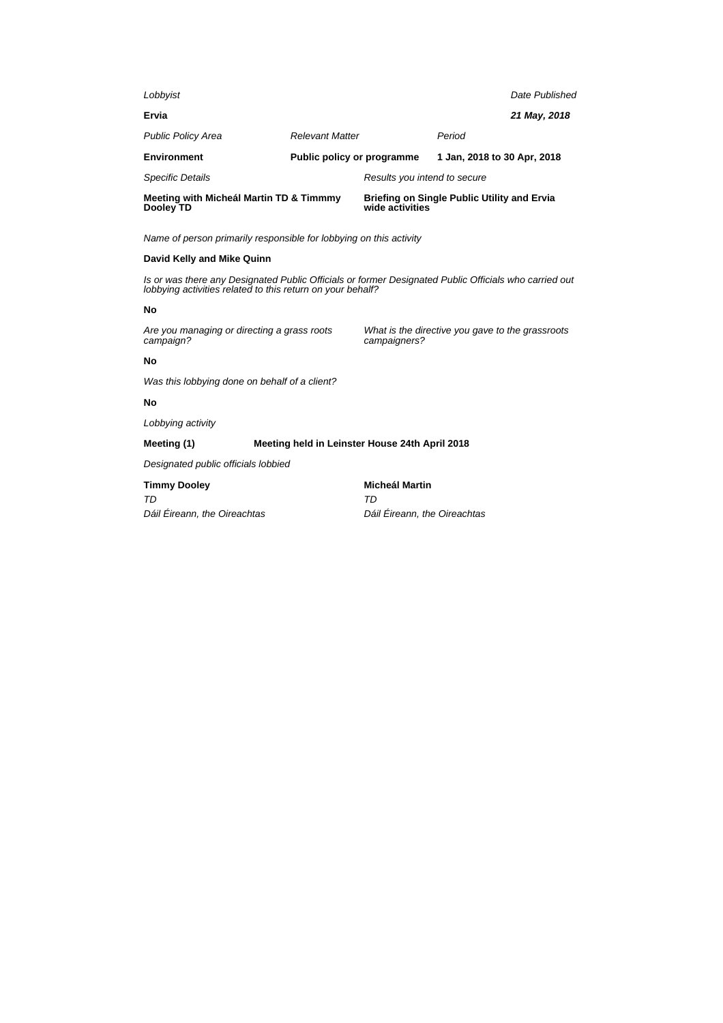| Meeting with Micheál Martin TD & Timmmy<br>Dooley TD |  | <b>Briefing on Single Public Utility and Ervia</b><br>wide activities |                              |  |
|------------------------------------------------------|--|-----------------------------------------------------------------------|------------------------------|--|
|                                                      |  |                                                                       |                              |  |
|                                                      |  | 1 Jan, 2018 to 30 Apr, 2018                                           |                              |  |
|                                                      |  | Period                                                                |                              |  |
|                                                      |  |                                                                       | 21 May, 2018                 |  |
|                                                      |  |                                                                       | Date Published               |  |
|                                                      |  | <b>Relevant Matter</b><br>Public policy or programme                  | Results you intend to secure |  |

## **David Kelly and Mike Quinn**

Is or was there any Designated Public Officials or former Designated Public Officials who carried out lobbying activities related to this return on your behalf?

#### **No**

Are you managing or directing a grass roots campaign?

What is the directive you gave to the grassroots campaigners?

#### **No**

Was this lobbying done on behalf of a client?

## **No**

Lobbying activity

# **Meeting (1) Meeting held in Leinster House 24th April 2018**

Designated public officials lobbied

## **Timmy Dooley**

TD Dáil Éireann, the Oireachtas **Micheál Martin** TD Dáil Éireann, the Oireachtas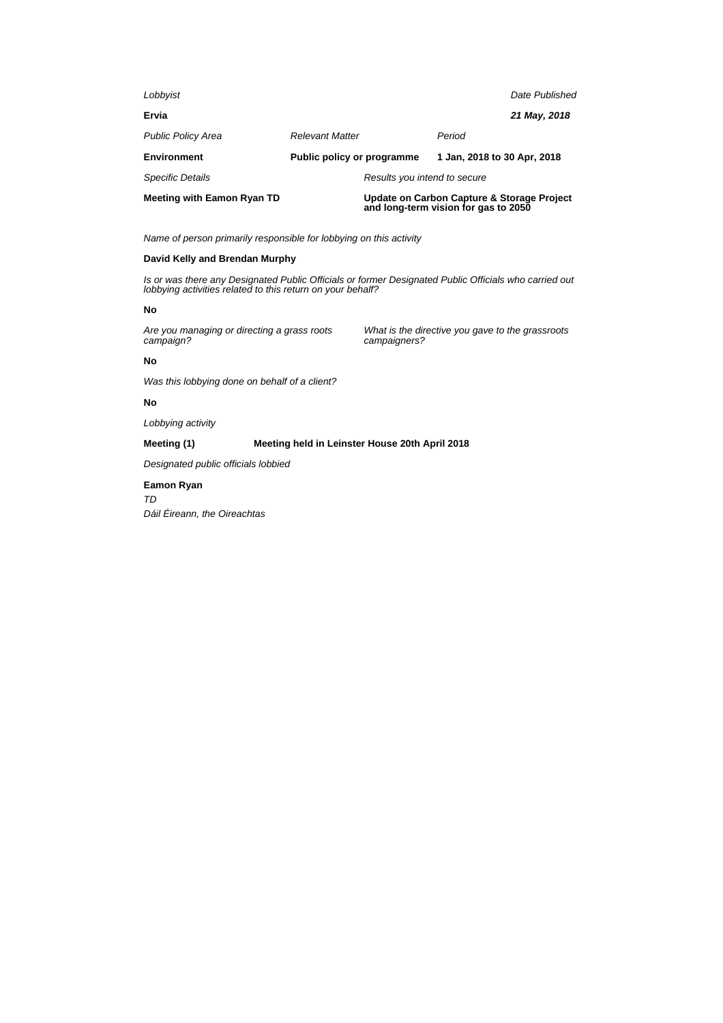| Lobbyist                          |                              | Date Published                                                                     |  |  |
|-----------------------------------|------------------------------|------------------------------------------------------------------------------------|--|--|
| Ervia                             |                              | 21 May, 2018                                                                       |  |  |
| <b>Public Policy Area</b>         | <b>Relevant Matter</b>       | Period                                                                             |  |  |
| <b>Environment</b>                | Public policy or programme   | 1 Jan, 2018 to 30 Apr, 2018                                                        |  |  |
| <b>Specific Details</b>           | Results you intend to secure |                                                                                    |  |  |
| <b>Meeting with Eamon Ryan TD</b> |                              | Update on Carbon Capture & Storage Project<br>and long-term vision for gas to 2050 |  |  |

## **David Kelly and Brendan Murphy**

Is or was there any Designated Public Officials or former Designated Public Officials who carried out lobbying activities related to this return on your behalf?

#### **No**

Are you managing or directing a grass roots campaign?

What is the directive you gave to the grassroots campaigners?

## **No**

Was this lobbying done on behalf of a client?

## **No**

Lobbying activity

## **Meeting (1) Meeting held in Leinster House 20th April 2018**

Designated public officials lobbied

## **Eamon Ryan**

TD Dáil Éireann, the Oireachtas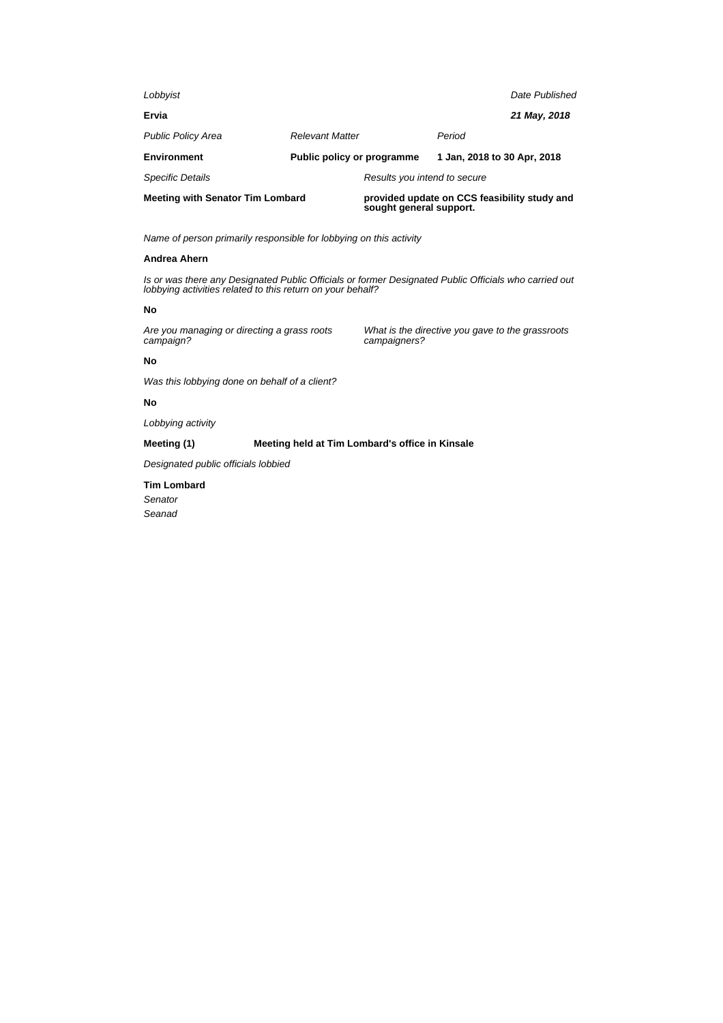| Lobbyist                                |                            |                                                                         |                             | Date Published |
|-----------------------------------------|----------------------------|-------------------------------------------------------------------------|-----------------------------|----------------|
| Ervia                                   |                            |                                                                         |                             | 21 May, 2018   |
| <b>Public Policy Area</b>               | <b>Relevant Matter</b>     |                                                                         | Period                      |                |
| <b>Environment</b>                      | Public policy or programme |                                                                         | 1 Jan, 2018 to 30 Apr, 2018 |                |
| <b>Specific Details</b>                 |                            | Results you intend to secure                                            |                             |                |
| <b>Meeting with Senator Tim Lombard</b> |                            | provided update on CCS feasibility study and<br>sought general support. |                             |                |

### **Andrea Ahern**

Is or was there any Designated Public Officials or former Designated Public Officials who carried out lobbying activities related to this return on your behalf?

### **No**

Are you managing or directing a grass roots campaign?

What is the directive you gave to the grassroots campaigners?

## **No**

Was this lobbying done on behalf of a client?

### **No**

Lobbying activity

## **Meeting (1) Meeting held at Tim Lombard's office in Kinsale**

Designated public officials lobbied

#### **Tim Lombard**

Senator

Seanad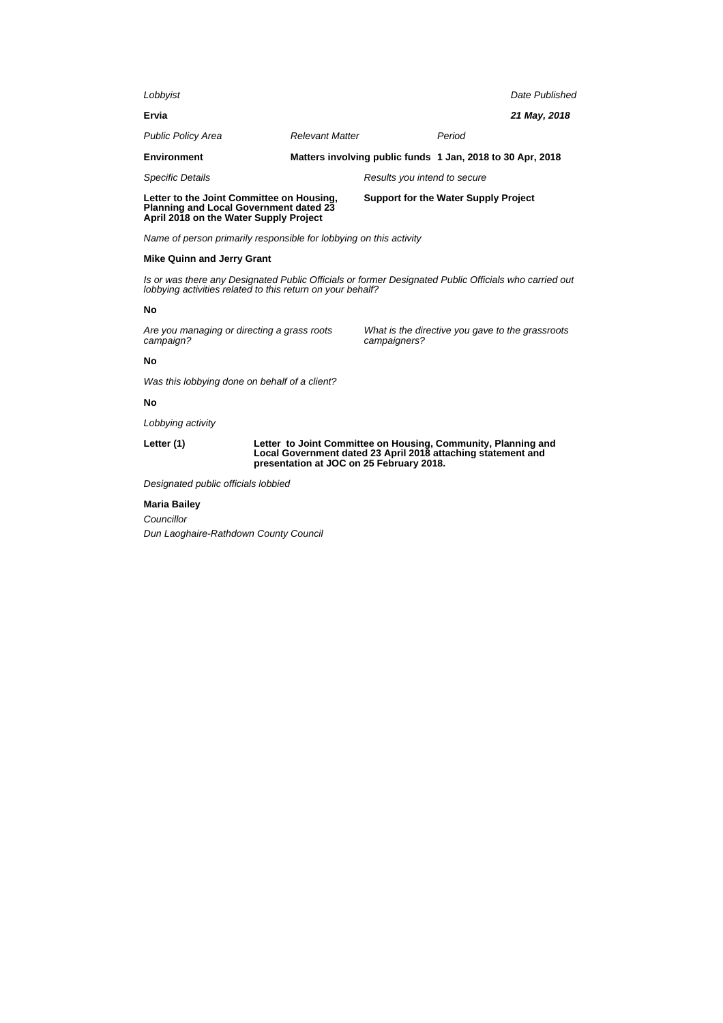| Lobbyist                                                                                   |                        |                                             |                                                            | Date Published |
|--------------------------------------------------------------------------------------------|------------------------|---------------------------------------------|------------------------------------------------------------|----------------|
| Ervia                                                                                      |                        |                                             |                                                            | 21 May, 2018   |
| <b>Public Policy Area</b>                                                                  | <b>Relevant Matter</b> |                                             | Period                                                     |                |
| <b>Environment</b>                                                                         |                        |                                             | Matters involving public funds 1 Jan, 2018 to 30 Apr, 2018 |                |
| <b>Specific Details</b>                                                                    |                        | Results you intend to secure                |                                                            |                |
| Letter to the Joint Committee on Housing,<br><b>Planning and Local Government dated 23</b> |                        | <b>Support for the Water Supply Project</b> |                                                            |                |

#### **Mike Quinn and Jerry Grant**

Is or was there any Designated Public Officials or former Designated Public Officials who carried out lobbying activities related to this return on your behalf?

#### **No**

Are you managing or directing a grass roots campaign?

**April 2018 on the Water Supply Project**

What is the directive you gave to the grassroots campaigners?

## **No**

Was this lobbying done on behalf of a client?

#### **No**

Lobbying activity

**Letter (1) Letter to Joint Committee on Housing, Community, Planning and Local Government dated 23 April 2018 attaching statement and presentation at JOC on 25 February 2018.**

Designated public officials lobbied

#### **Maria Bailey**

**Councillor** Dun Laoghaire-Rathdown County Council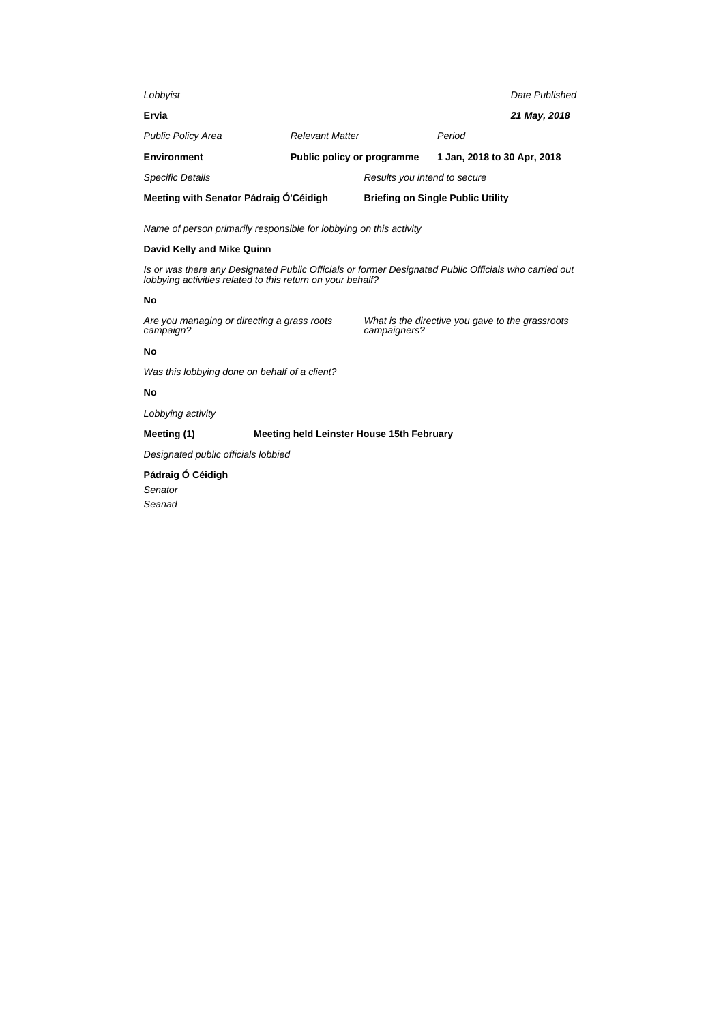| Lobbyist                               |                            |                              |                                          | Date Published |
|----------------------------------------|----------------------------|------------------------------|------------------------------------------|----------------|
| Ervia                                  |                            |                              |                                          | 21 May, 2018   |
| <b>Public Policy Area</b>              | <b>Relevant Matter</b>     |                              | Period                                   |                |
| <b>Environment</b>                     | Public policy or programme |                              | 1 Jan, 2018 to 30 Apr, 2018              |                |
| <b>Specific Details</b>                |                            | Results you intend to secure |                                          |                |
| Meeting with Senator Pádraig O'Céidigh |                            |                              | <b>Briefing on Single Public Utility</b> |                |

## **David Kelly and Mike Quinn**

Is or was there any Designated Public Officials or former Designated Public Officials who carried out lobbying activities related to this return on your behalf?

#### **No**

Are you managing or directing a grass roots campaign?

What is the directive you gave to the grassroots campaigners?

## **No**

Was this lobbying done on behalf of a client?

## **No**

Lobbying activity

## **Meeting (1) Meeting held Leinster House 15th February**

Designated public officials lobbied

**Pádraig Ó Céidigh** Senator Seanad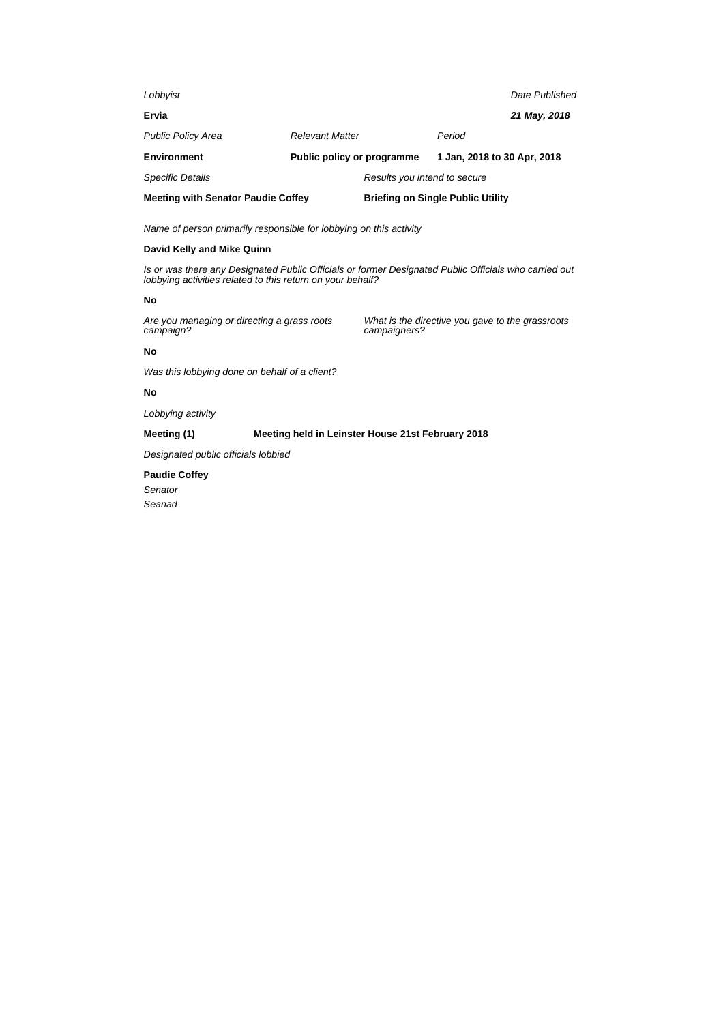| <b>Meeting with Senator Paudie Coffey</b> |                            | <b>Briefing on Single Public Utility</b> |                             |                |
|-------------------------------------------|----------------------------|------------------------------------------|-----------------------------|----------------|
| <b>Specific Details</b>                   |                            | Results you intend to secure             |                             |                |
| <b>Environment</b>                        | Public policy or programme |                                          | 1 Jan, 2018 to 30 Apr, 2018 |                |
| <b>Public Policy Area</b>                 | <b>Relevant Matter</b>     |                                          | Period                      |                |
| Ervia                                     |                            |                                          |                             | 21 May, 2018   |
| Lobbyist                                  |                            |                                          |                             | Date Published |

## **David Kelly and Mike Quinn**

Is or was there any Designated Public Officials or former Designated Public Officials who carried out lobbying activities related to this return on your behalf?

#### **No**

Are you managing or directing a grass roots campaign?

What is the directive you gave to the grassroots campaigners?

### **No**

Was this lobbying done on behalf of a client?

## **No**

Lobbying activity

## **Meeting (1) Meeting held in Leinster House 21st February 2018**

Designated public officials lobbied

## **Paudie Coffey** Senator

Seanad